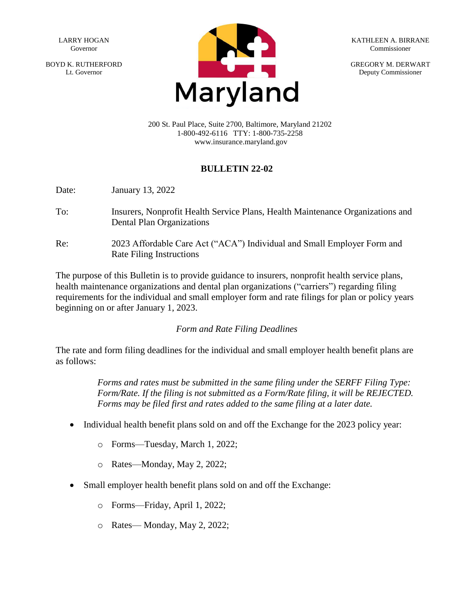LARRY HOGAN Governor

BOYD K. RUTHERFORD Lt. Governor



KATHLEEN A. BIRRANE Commissioner

GREGORY M. DERWART Deputy Commissioner

200 St. Paul Place, Suite 2700, Baltimore, Maryland 21202 1-800-492-6116 TTY: 1-800-735-2258 www.insurance.maryland.gov

## **BULLETIN 22-02**

Date: January 13, 2022

- To: Insurers, Nonprofit Health Service Plans, Health Maintenance Organizations and Dental Plan Organizations
- Re: 2023 Affordable Care Act ("ACA") Individual and Small Employer Form and Rate Filing Instructions

The purpose of this Bulletin is to provide guidance to insurers, nonprofit health service plans, health maintenance organizations and dental plan organizations ("carriers") regarding filing requirements for the individual and small employer form and rate filings for plan or policy years beginning on or after January 1, 2023.

*Form and Rate Filing Deadlines*

The rate and form filing deadlines for the individual and small employer health benefit plans are as follows:

> *Forms and rates must be submitted in the same filing under the SERFF Filing Type: Form/Rate. If the filing is not submitted as a Form/Rate filing, it will be REJECTED. Forms may be filed first and rates added to the same filing at a later date.*

- Individual health benefit plans sold on and off the Exchange for the 2023 policy year:
	- o Forms—Tuesday, March 1, 2022;
	- o Rates—Monday, May 2, 2022;
- Small employer health benefit plans sold on and off the Exchange:
	- o Forms—Friday, April 1, 2022;
	- o Rates— Monday, May 2, 2022;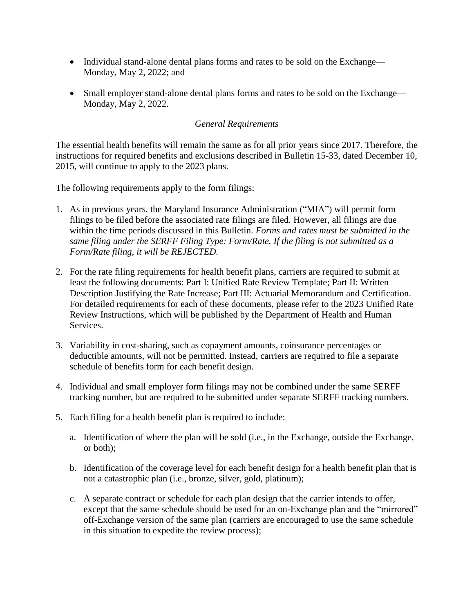- Individual stand-alone dental plans forms and rates to be sold on the Exchange— Monday, May 2, 2022; and
- Small employer stand-alone dental plans forms and rates to be sold on the Exchange— Monday, May 2, 2022.

## *General Requirements*

The essential health benefits will remain the same as for all prior years since 2017. Therefore, the instructions for required benefits and exclusions described in Bulletin 15-33, dated December 10, 2015, will continue to apply to the 2023 plans.

The following requirements apply to the form filings:

- 1. As in previous years, the Maryland Insurance Administration ("MIA") will permit form filings to be filed before the associated rate filings are filed. However, all filings are due within the time periods discussed in this Bulletin. *Forms and rates must be submitted in the same filing under the SERFF Filing Type: Form/Rate. If the filing is not submitted as a Form/Rate filing, it will be REJECTED.*
- 2. For the rate filing requirements for health benefit plans, carriers are required to submit at least the following documents: Part I: Unified Rate Review Template; Part II: Written Description Justifying the Rate Increase; Part III: Actuarial Memorandum and Certification. For detailed requirements for each of these documents, please refer to the 2023 Unified Rate Review Instructions, which will be published by the Department of Health and Human Services.
- 3. Variability in cost-sharing, such as copayment amounts, coinsurance percentages or deductible amounts, will not be permitted. Instead, carriers are required to file a separate schedule of benefits form for each benefit design.
- 4. Individual and small employer form filings may not be combined under the same SERFF tracking number, but are required to be submitted under separate SERFF tracking numbers.
- 5. Each filing for a health benefit plan is required to include:
	- a. Identification of where the plan will be sold (i.e., in the Exchange, outside the Exchange, or both);
	- b. Identification of the coverage level for each benefit design for a health benefit plan that is not a catastrophic plan (i.e., bronze, silver, gold, platinum);
	- c. A separate contract or schedule for each plan design that the carrier intends to offer, except that the same schedule should be used for an on-Exchange plan and the "mirrored" off-Exchange version of the same plan (carriers are encouraged to use the same schedule in this situation to expedite the review process);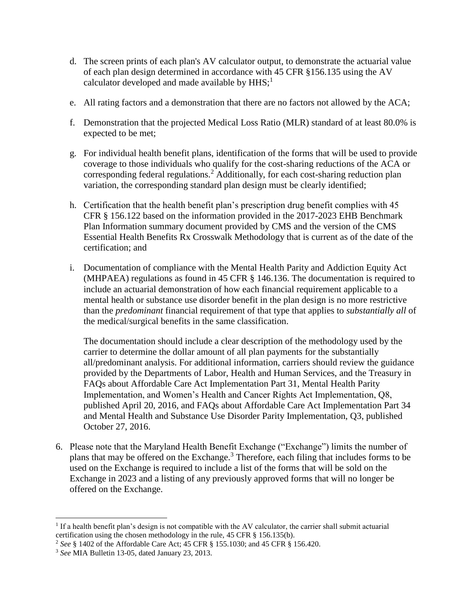- d. The screen prints of each plan's AV calculator output, to demonstrate the actuarial value of each plan design determined in accordance with 45 CFR §156.135 using the AV calculator developed and made available by  $HHS<sup>1</sup>$
- e. All rating factors and a demonstration that there are no factors not allowed by the ACA;
- f. Demonstration that the projected Medical Loss Ratio (MLR) standard of at least 80.0% is expected to be met;
- g. For individual health benefit plans, identification of the forms that will be used to provide coverage to those individuals who qualify for the cost-sharing reductions of the ACA or corresponding federal regulations.<sup>2</sup> Additionally, for each cost-sharing reduction plan variation, the corresponding standard plan design must be clearly identified;
- h. Certification that the health benefit plan's prescription drug benefit complies with 45 CFR § 156.122 based on the information provided in the 2017-2023 EHB Benchmark Plan Information summary document provided by CMS and the version of the CMS Essential Health Benefits Rx Crosswalk Methodology that is current as of the date of the certification; and
- i. Documentation of compliance with the Mental Health Parity and Addiction Equity Act (MHPAEA) regulations as found in 45 CFR § 146.136. The documentation is required to include an actuarial demonstration of how each financial requirement applicable to a mental health or substance use disorder benefit in the plan design is no more restrictive than the *predominant* financial requirement of that type that applies to *substantially all* of the medical/surgical benefits in the same classification.

The documentation should include a clear description of the methodology used by the carrier to determine the dollar amount of all plan payments for the substantially all/predominant analysis. For additional information, carriers should review the guidance provided by the Departments of Labor, Health and Human Services, and the Treasury in FAQs about Affordable Care Act Implementation Part 31, Mental Health Parity Implementation, and Women's Health and Cancer Rights Act Implementation, Q8, published April 20, 2016, and FAQs about Affordable Care Act Implementation Part 34 and Mental Health and Substance Use Disorder Parity Implementation, Q3, published October 27, 2016.

6. Please note that the Maryland Health Benefit Exchange ("Exchange") limits the number of plans that may be offered on the Exchange.<sup>3</sup> Therefore, each filing that includes forms to be used on the Exchange is required to include a list of the forms that will be sold on the Exchange in 2023 and a listing of any previously approved forms that will no longer be offered on the Exchange.

 $\overline{a}$ 

<sup>&</sup>lt;sup>1</sup> If a health benefit plan's design is not compatible with the AV calculator, the carrier shall submit actuarial certification using the chosen methodology in the rule, 45 CFR § 156.135(b).

<sup>2</sup> *See* § 1402 of the Affordable Care Act; 45 CFR § 155.1030; and 45 CFR § 156.420.

<sup>3</sup> *See* MIA Bulletin 13-05, dated January 23, 2013.